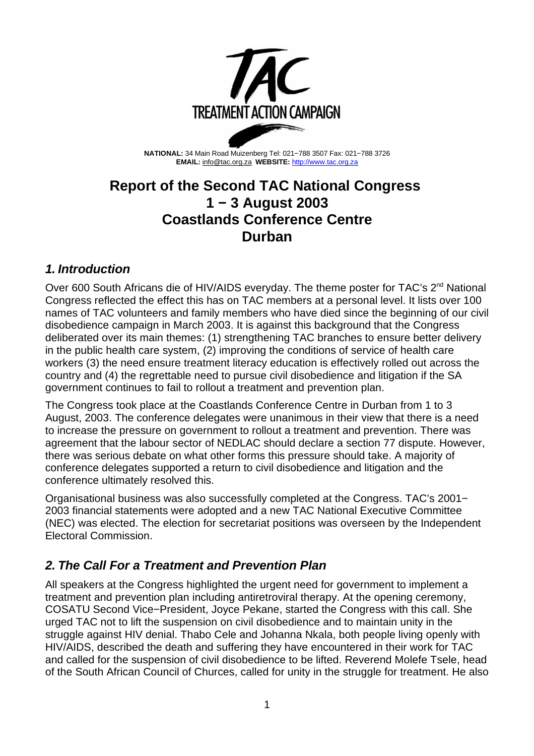

**NATIONAL:** 34 Main Road Muizenberg Tel: 021−788 3507 Fax: 021−788 3726 **EMAIL:** info@tac.org.za **WEBSITE:** http://www.tac.org.za

## **Report of the Second TAC National Congress 1 − 3 August 2003 Coastlands Conference Centre Durban**

### **1. Introduction**

Over 600 South Africans die of HIV/AIDS everyday. The theme poster for TAC's 2<sup>nd</sup> National Congress reflected the effect this has on TAC members at a personal level. It lists over 100 names of TAC volunteers and family members who have died since the beginning of our civil disobedience campaign in March 2003. It is against this background that the Congress deliberated over its main themes: (1) strengthening TAC branches to ensure better delivery in the public health care system, (2) improving the conditions of service of health care workers (3) the need ensure treatment literacy education is effectively rolled out across the country and (4) the regrettable need to pursue civil disobedience and litigation if the SA government continues to fail to rollout a treatment and prevention plan.

The Congress took place at the Coastlands Conference Centre in Durban from 1 to 3 August, 2003. The conference delegates were unanimous in their view that there is a need to increase the pressure on government to rollout a treatment and prevention. There was agreement that the labour sector of NEDLAC should declare a section 77 dispute. However, there was serious debate on what other forms this pressure should take. A majority of conference delegates supported a return to civil disobedience and litigation and the conference ultimately resolved this.

Organisational business was also successfully completed at the Congress. TAC's 2001− 2003 financial statements were adopted and a new TAC National Executive Committee (NEC) was elected. The election for secretariat positions was overseen by the Independent Electoral Commission.

## **2. The Call For a Treatment and Prevention Plan**

All speakers at the Congress highlighted the urgent need for government to implement a treatment and prevention plan including antiretroviral therapy. At the opening ceremony, COSATU Second Vice−President, Joyce Pekane, started the Congress with this call. She urged TAC not to lift the suspension on civil disobedience and to maintain unity in the struggle against HIV denial. Thabo Cele and Johanna Nkala, both people living openly with HIV/AIDS, described the death and suffering they have encountered in their work for TAC and called for the suspension of civil disobedience to be lifted. Reverend Molefe Tsele, head of the South African Council of Churces, called for unity in the struggle for treatment. He also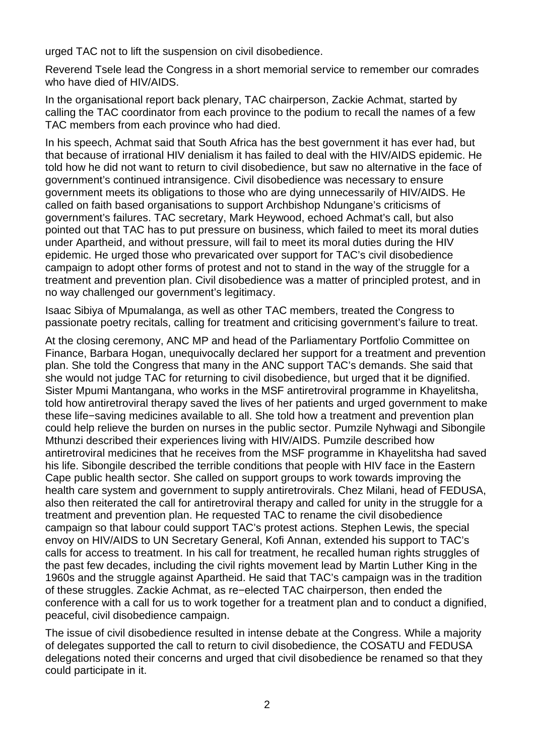urged TAC not to lift the suspension on civil disobedience.

Reverend Tsele lead the Congress in a short memorial service to remember our comrades who have died of HIV/AIDS.

In the organisational report back plenary, TAC chairperson, Zackie Achmat, started by calling the TAC coordinator from each province to the podium to recall the names of a few TAC members from each province who had died.

In his speech, Achmat said that South Africa has the best government it has ever had, but that because of irrational HIV denialism it has failed to deal with the HIV/AIDS epidemic. He told how he did not want to return to civil disobedience, but saw no alternative in the face of government's continued intransigence. Civil disobedience was necessary to ensure government meets its obligations to those who are dying unnecessarily of HIV/AIDS. He called on faith based organisations to support Archbishop Ndungane's criticisms of government's failures. TAC secretary, Mark Heywood, echoed Achmat's call, but also pointed out that TAC has to put pressure on business, which failed to meet its moral duties under Apartheid, and without pressure, will fail to meet its moral duties during the HIV epidemic. He urged those who prevaricated over support for TAC's civil disobedience campaign to adopt other forms of protest and not to stand in the way of the struggle for a treatment and prevention plan. Civil disobedience was a matter of principled protest, and in no way challenged our government's legitimacy.

Isaac Sibiya of Mpumalanga, as well as other TAC members, treated the Congress to passionate poetry recitals, calling for treatment and criticising government's failure to treat.

At the closing ceremony, ANC MP and head of the Parliamentary Portfolio Committee on Finance, Barbara Hogan, unequivocally declared her support for a treatment and prevention plan. She told the Congress that many in the ANC support TAC's demands. She said that she would not judge TAC for returning to civil disobedience, but urged that it be dignified. Sister Mpumi Mantangana, who works in the MSF antiretroviral programme in Khayelitsha, told how antiretroviral therapy saved the lives of her patients and urged government to make these life−saving medicines available to all. She told how a treatment and prevention plan could help relieve the burden on nurses in the public sector. Pumzile Nyhwagi and Sibongile Mthunzi described their experiences living with HIV/AIDS. Pumzile described how antiretroviral medicines that he receives from the MSF programme in Khayelitsha had saved his life. Sibongile described the terrible conditions that people with HIV face in the Eastern Cape public health sector. She called on support groups to work towards improving the health care system and government to supply antiretrovirals. Chez Milani, head of FEDUSA, also then reiterated the call for antiretroviral therapy and called for unity in the struggle for a treatment and prevention plan. He requested TAC to rename the civil disobedience campaign so that labour could support TAC's protest actions. Stephen Lewis, the special envoy on HIV/AIDS to UN Secretary General, Kofi Annan, extended his support to TAC's calls for access to treatment. In his call for treatment, he recalled human rights struggles of the past few decades, including the civil rights movement lead by Martin Luther King in the 1960s and the struggle against Apartheid. He said that TAC's campaign was in the tradition of these struggles. Zackie Achmat, as re−elected TAC chairperson, then ended the conference with a call for us to work together for a treatment plan and to conduct a dignified, peaceful, civil disobedience campaign.

The issue of civil disobedience resulted in intense debate at the Congress. While a majority of delegates supported the call to return to civil disobedience, the COSATU and FEDUSA delegations noted their concerns and urged that civil disobedience be renamed so that they could participate in it.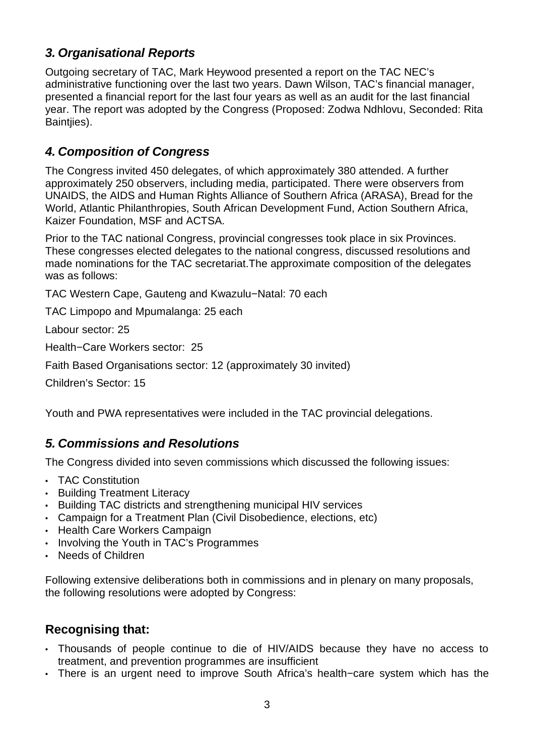## **3. Organisational Reports**

Outgoing secretary of TAC, Mark Heywood presented a report on the TAC NEC's administrative functioning over the last two years. Dawn Wilson, TAC's financial manager, presented a financial report for the last four years as well as an audit for the last financial year. The report was adopted by the Congress (Proposed: Zodwa Ndhlovu, Seconded: Rita Baintjies).

### **4. Composition of Congress**

The Congress invited 450 delegates, of which approximately 380 attended. A further approximately 250 observers, including media, participated. There were observers from UNAIDS, the AIDS and Human Rights Alliance of Southern Africa (ARASA), Bread for the World, Atlantic Philanthropies, South African Development Fund, Action Southern Africa, Kaizer Foundation, MSF and ACTSA.

Prior to the TAC national Congress, provincial congresses took place in six Provinces. These congresses elected delegates to the national congress, discussed resolutions and made nominations for the TAC secretariat.The approximate composition of the delegates was as follows:

TAC Western Cape, Gauteng and Kwazulu−Natal: 70 each

TAC Limpopo and Mpumalanga: 25 each

Labour sector: 25

Health−Care Workers sector: 25

Faith Based Organisations sector: 12 (approximately 30 invited)

Children's Sector: 15

Youth and PWA representatives were included in the TAC provincial delegations.

## **5. Commissions and Resolutions**

The Congress divided into seven commissions which discussed the following issues:

- TAC Constitution
- Building Treatment Literacy
- Building TAC districts and strengthening municipal HIV services
- Campaign for a Treatment Plan (Civil Disobedience, elections, etc)
- Health Care Workers Campaign
- Involving the Youth in TAC's Programmes
- Needs of Children

Following extensive deliberations both in commissions and in plenary on many proposals, the following resolutions were adopted by Congress:

## **Recognising that:**

- Thousands of people continue to die of HIV/AIDS because they have no access to treatment, and prevention programmes are insufficient
- There is an urgent need to improve South Africa's health−care system which has the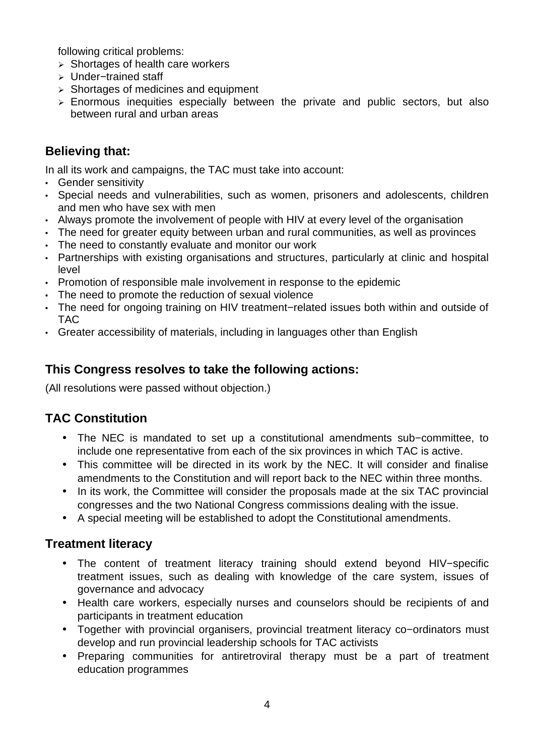following critical problems:

- $\triangleright$  Shortages of health care workers
- / Under−trained staff
- $\geq$  Shortages of medicines and equipment
- $\ge$  Enormous inequities especially between the private and public sectors, but also between rural and urban areas

### **Believing that:**

In all its work and campaigns, the TAC must take into account:

- Gender sensitivity
- Special needs and vulnerabilities, such as women, prisoners and adolescents, children and men who have sex with men
- Always promote the involvement of people with HIV at every level of the organisation
- The need for greater equity between urban and rural communities, as well as provinces
- The need to constantly evaluate and monitor our work
- Partnerships with existing organisations and structures, particularly at clinic and hospital level
- Promotion of responsible male involvement in response to the epidemic
- The need to promote the reduction of sexual violence
- The need for ongoing training on HIV treatment−related issues both within and outside of TAC
- Greater accessibility of materials, including in languages other than English

### **This Congress resolves to take the following actions:**

(All resolutions were passed without objection.)

## **TAC Constitution**

- The NEC is mandated to set up a constitutional amendments sub−committee, to include one representative from each of the six provinces in which TAC is active.
- This committee will be directed in its work by the NEC. It will consider and finalise amendments to the Constitution and will report back to the NEC within three months.
- In its work, the Committee will consider the proposals made at the six TAC provincial congresses and the two National Congress commissions dealing with the issue.
- A special meeting will be established to adopt the Constitutional amendments.

#### **Treatment literacy**

- The content of treatment literacy training should extend beyond HIV−specific treatment issues, such as dealing with knowledge of the care system, issues of governance and advocacy
- Health care workers, especially nurses and counselors should be recipients of and participants in treatment education
- Together with provincial organisers, provincial treatment literacy co−ordinators must develop and run provincial leadership schools for TAC activists
- Preparing communities for antiretroviral therapy must be a part of treatment education programmes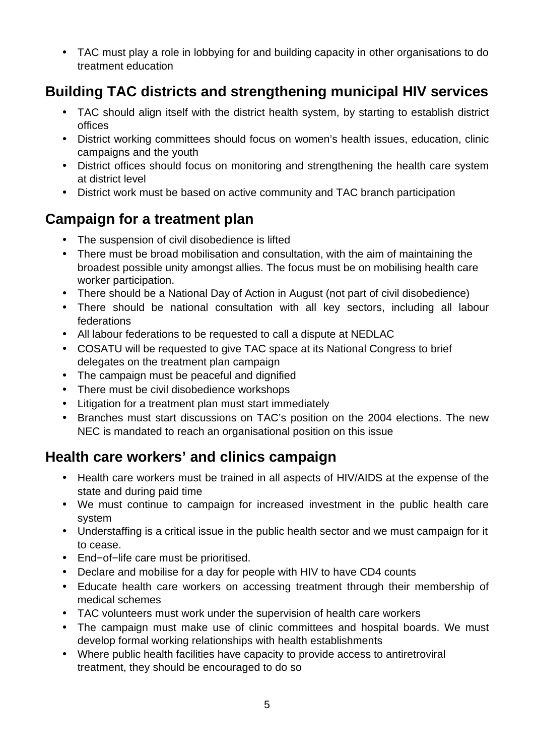• TAC must play a role in lobbying for and building capacity in other organisations to do treatment education

# **Building TAC districts and strengthening municipal HIV services**

- TAC should align itself with the district health system, by starting to establish district offices
- District working committees should focus on women's health issues, education, clinic campaigns and the youth
- District offices should focus on monitoring and strengthening the health care system at district level
- District work must be based on active community and TAC branch participation

# **Campaign for a treatment plan**

- The suspension of civil disobedience is lifted
- There must be broad mobilisation and consultation, with the aim of maintaining the broadest possible unity amongst allies. The focus must be on mobilising health care worker participation.
- There should be a National Day of Action in August (not part of civil disobedience)
- There should be national consultation with all key sectors, including all labour federations
- All labour federations to be requested to call a dispute at NEDLAC
- COSATU will be requested to give TAC space at its National Congress to brief delegates on the treatment plan campaign
- The campaign must be peaceful and dignified
- There must be civil disobedience workshops
- Litigation for a treatment plan must start immediately
- Branches must start discussions on TAC's position on the 2004 elections. The new NEC is mandated to reach an organisational position on this issue

## **Health care workers' and clinics campaign**

- Health care workers must be trained in all aspects of HIV/AIDS at the expense of the state and during paid time
- We must continue to campaign for increased investment in the public health care system
- Understaffing is a critical issue in the public health sector and we must campaign for it to cease.
- End−of−life care must be prioritised.
- Declare and mobilise for a day for people with HIV to have CD4 counts
- Educate health care workers on accessing treatment through their membership of medical schemes
- TAC volunteers must work under the supervision of health care workers
- The campaign must make use of clinic committees and hospital boards. We must develop formal working relationships with health establishments
- Where public health facilities have capacity to provide access to antiretroviral treatment, they should be encouraged to do so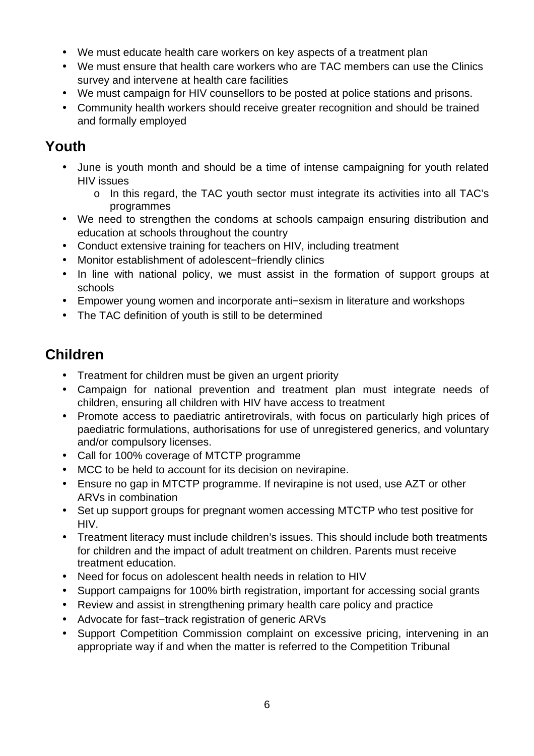- We must educate health care workers on key aspects of a treatment plan
- We must ensure that health care workers who are TAC members can use the Clinics survey and intervene at health care facilities
- We must campaign for HIV counsellors to be posted at police stations and prisons.
- Community health workers should receive greater recognition and should be trained and formally employed

# **Youth**

- June is youth month and should be a time of intense campaigning for youth related HIV issues
	- o In this regard, the TAC youth sector must integrate its activities into all TAC's programmes
- We need to strengthen the condoms at schools campaign ensuring distribution and education at schools throughout the country
- Conduct extensive training for teachers on HIV, including treatment
- Monitor establishment of adolescent−friendly clinics
- In line with national policy, we must assist in the formation of support groups at schools
- Empower young women and incorporate anti−sexism in literature and workshops
- The TAC definition of youth is still to be determined

# **Children**

- Treatment for children must be given an urgent priority
- Campaign for national prevention and treatment plan must integrate needs of children, ensuring all children with HIV have access to treatment
- Promote access to paediatric antiretrovirals, with focus on particularly high prices of paediatric formulations, authorisations for use of unregistered generics, and voluntary and/or compulsory licenses.
- Call for 100% coverage of MTCTP programme
- MCC to be held to account for its decision on nevirapine.
- Ensure no gap in MTCTP programme. If nevirapine is not used, use AZT or other ARVs in combination
- Set up support groups for pregnant women accessing MTCTP who test positive for HIV.
- Treatment literacy must include children's issues. This should include both treatments for children and the impact of adult treatment on children. Parents must receive treatment education.
- Need for focus on adolescent health needs in relation to HIV
- Support campaigns for 100% birth registration, important for accessing social grants
- Review and assist in strengthening primary health care policy and practice
- Advocate for fast−track registration of generic ARVs
- Support Competition Commission complaint on excessive pricing, intervening in an appropriate way if and when the matter is referred to the Competition Tribunal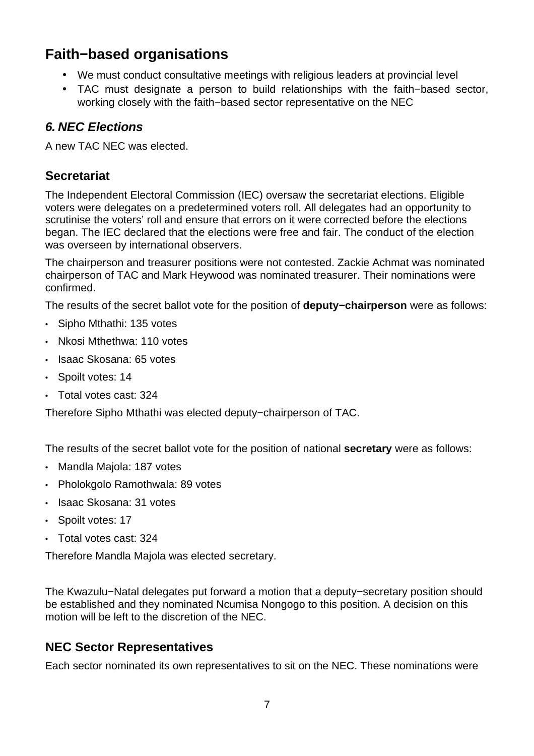# **Faith−based organisations**

- We must conduct consultative meetings with religious leaders at provincial level
- TAC must designate a person to build relationships with the faith−based sector, working closely with the faith−based sector representative on the NEC

### **6. NEC Elections**

A new TAC NEC was elected.

### **Secretariat**

The Independent Electoral Commission (IEC) oversaw the secretariat elections. Eligible voters were delegates on a predetermined voters roll. All delegates had an opportunity to scrutinise the voters' roll and ensure that errors on it were corrected before the elections began. The IEC declared that the elections were free and fair. The conduct of the election was overseen by international observers.

The chairperson and treasurer positions were not contested. Zackie Achmat was nominated chairperson of TAC and Mark Heywood was nominated treasurer. Their nominations were confirmed.

The results of the secret ballot vote for the position of **deputy−chairperson** were as follows:

- Sipho Mthathi: 135 votes
- Nkosi Mthethwa: 110 votes
- Isaac Skosana: 65 votes
- Spoilt votes: 14
- Total votes cast: 324

Therefore Sipho Mthathi was elected deputy−chairperson of TAC.

The results of the secret ballot vote for the position of national **secretary** were as follows:

- Mandla Majola: 187 votes
- Pholokgolo Ramothwala: 89 votes
- Isaac Skosana: 31 votes
- Spoilt votes: 17
- Total votes cast: 324

Therefore Mandla Majola was elected secretary.

The Kwazulu−Natal delegates put forward a motion that a deputy−secretary position should be established and they nominated Ncumisa Nongogo to this position. A decision on this motion will be left to the discretion of the NEC.

## **NEC Sector Representatives**

Each sector nominated its own representatives to sit on the NEC. These nominations were